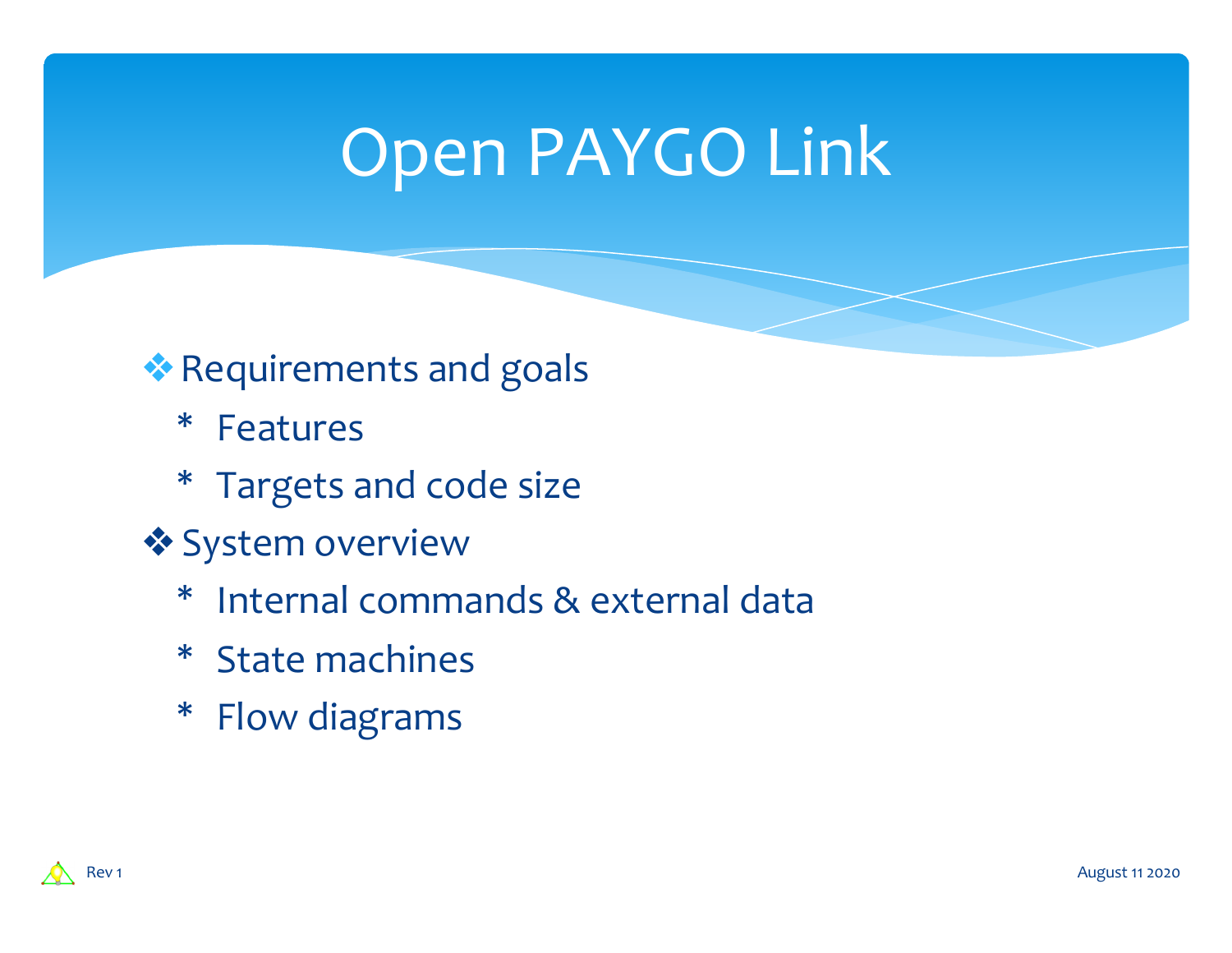## Open PAYGO Link

### ❖Requirements and goals

- \* Features
- \* Targets and code size
- ❖System overview
	- \* Internal commands & external data
	- \* State machines
	- \* Flow diagrams



August 11 2020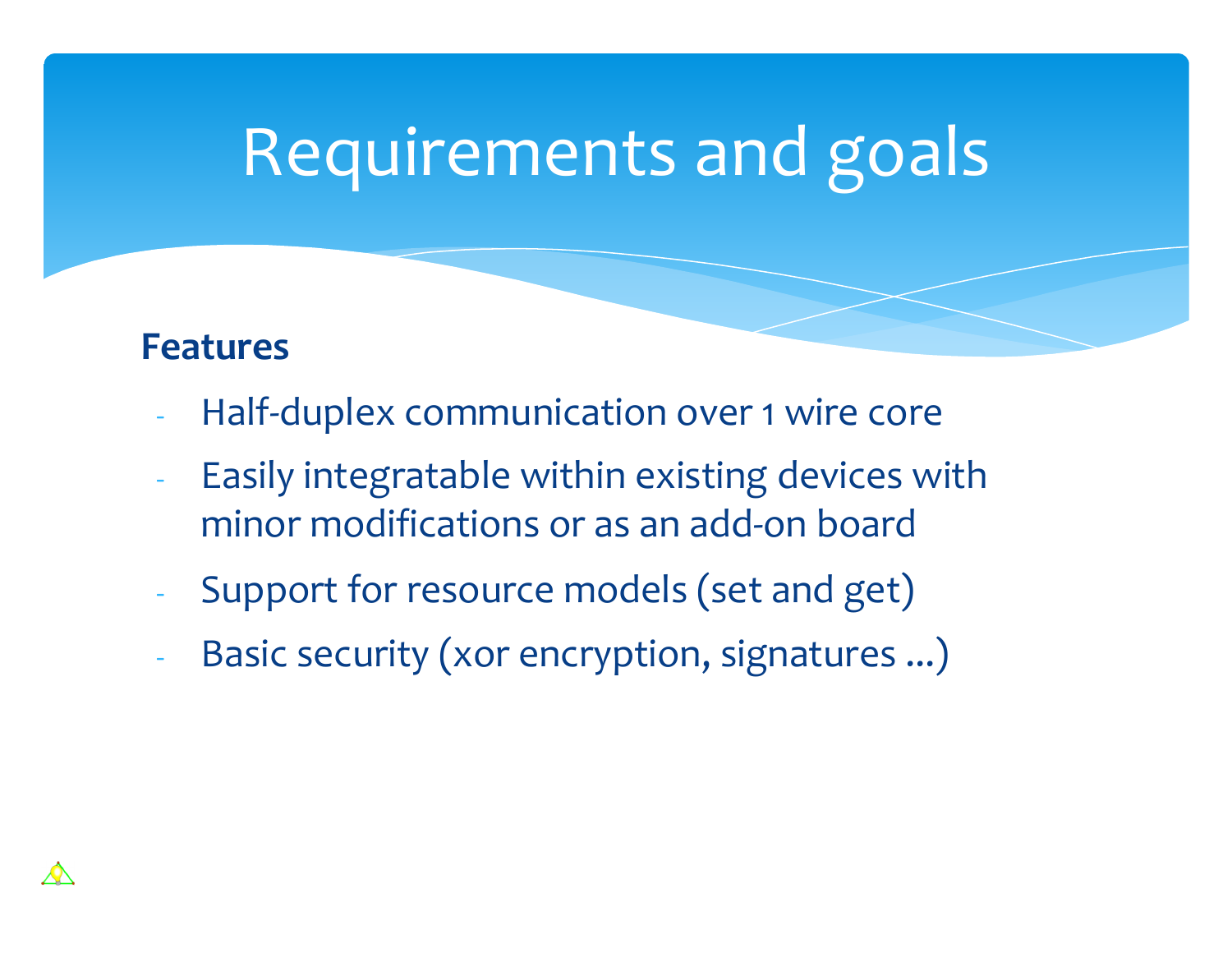# Requirements and goals

#### **Features**

- Half-duplex communication over 1 wire core
- Easily integratable within existing devices with minor modifications or as an add-on board
- Support for resource models (set and get)
- Basic security (xor encryption, signatures ...)

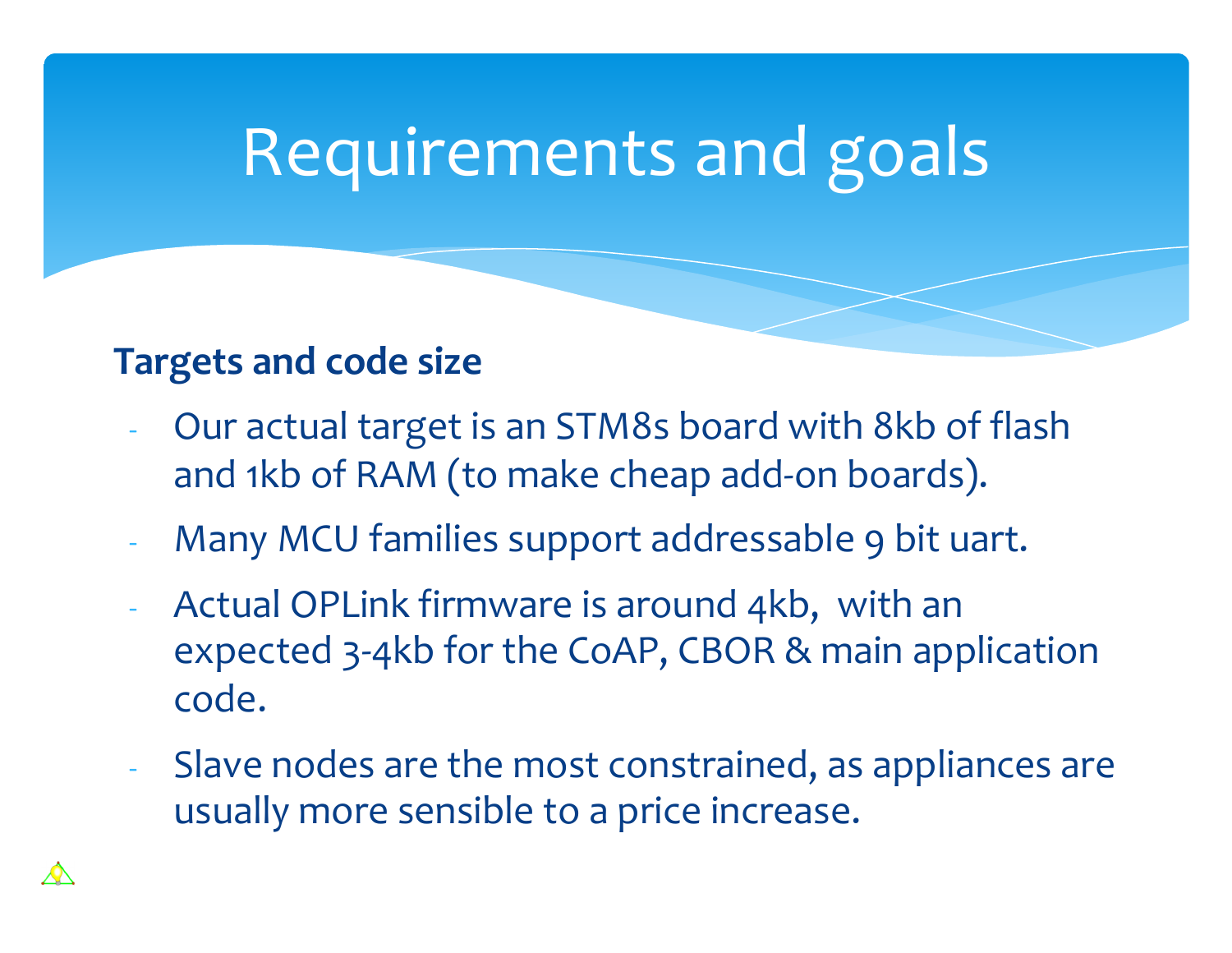## Requirements and goals

#### **Targets and code size**

- Our actual target is an STM8s board with 8kb of flash and 1kb of RAM (to make cheap add-on boards).
- Many MCU families support addressable 9 bit uart.
- Actual OPLink firmware is around 4kb, with an expected 3-4kb for the CoAP, CBOR & main application code.
- Slave nodes are the most constrained, as appliances are usually more sensible to a price increase.

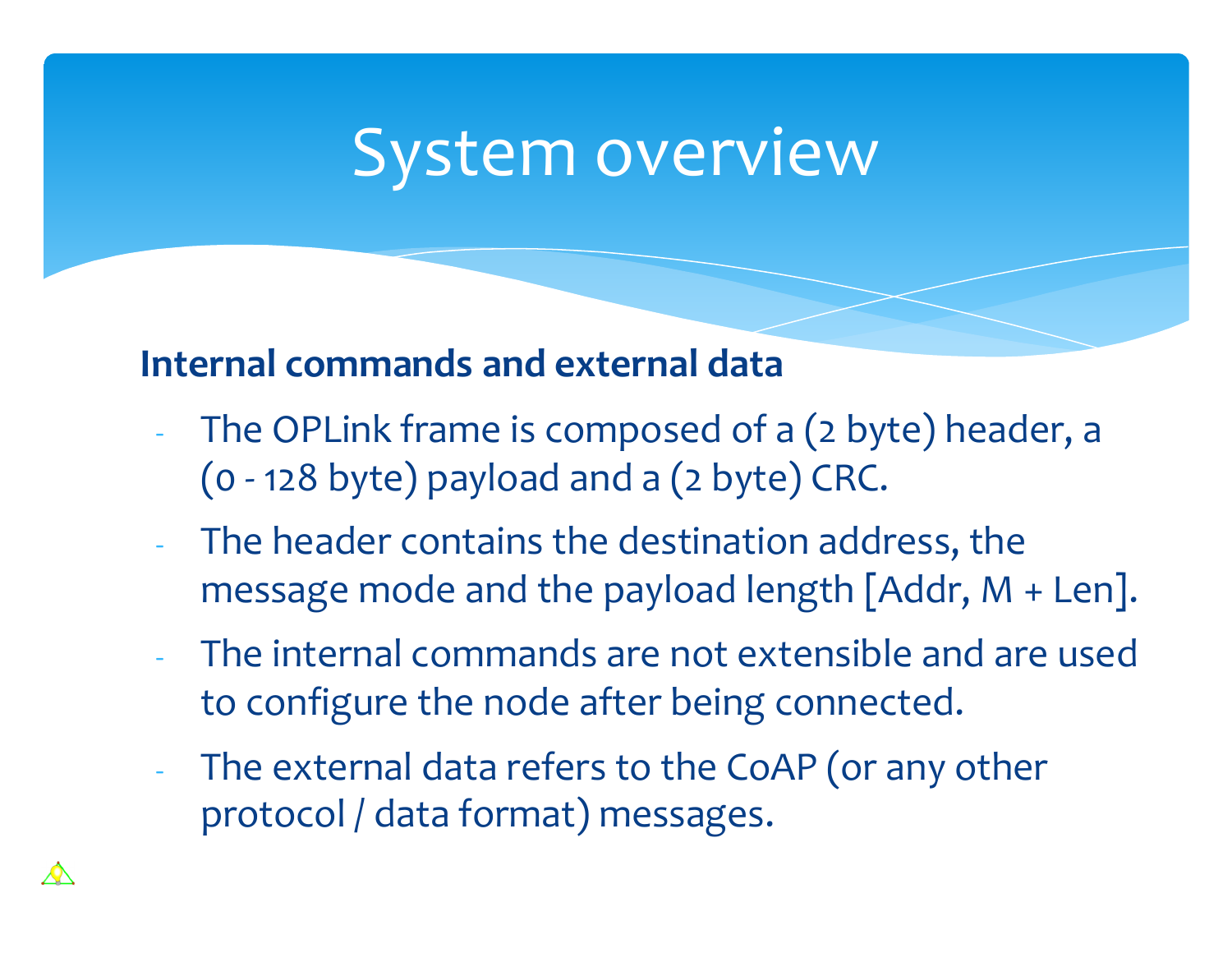### **Internal commands and external data**

- The OPLink frame is composed of a (2 byte) header, a (0 - 128 byte) payload and a (2 byte) CRC.
- The header contains the destination address, the message mode and the payload length [Addr, M + Len].
- The internal commands are not extensible and are used to configure the node after being connected.
- The external data refers to the CoAP (or any other protocol / data format) messages.

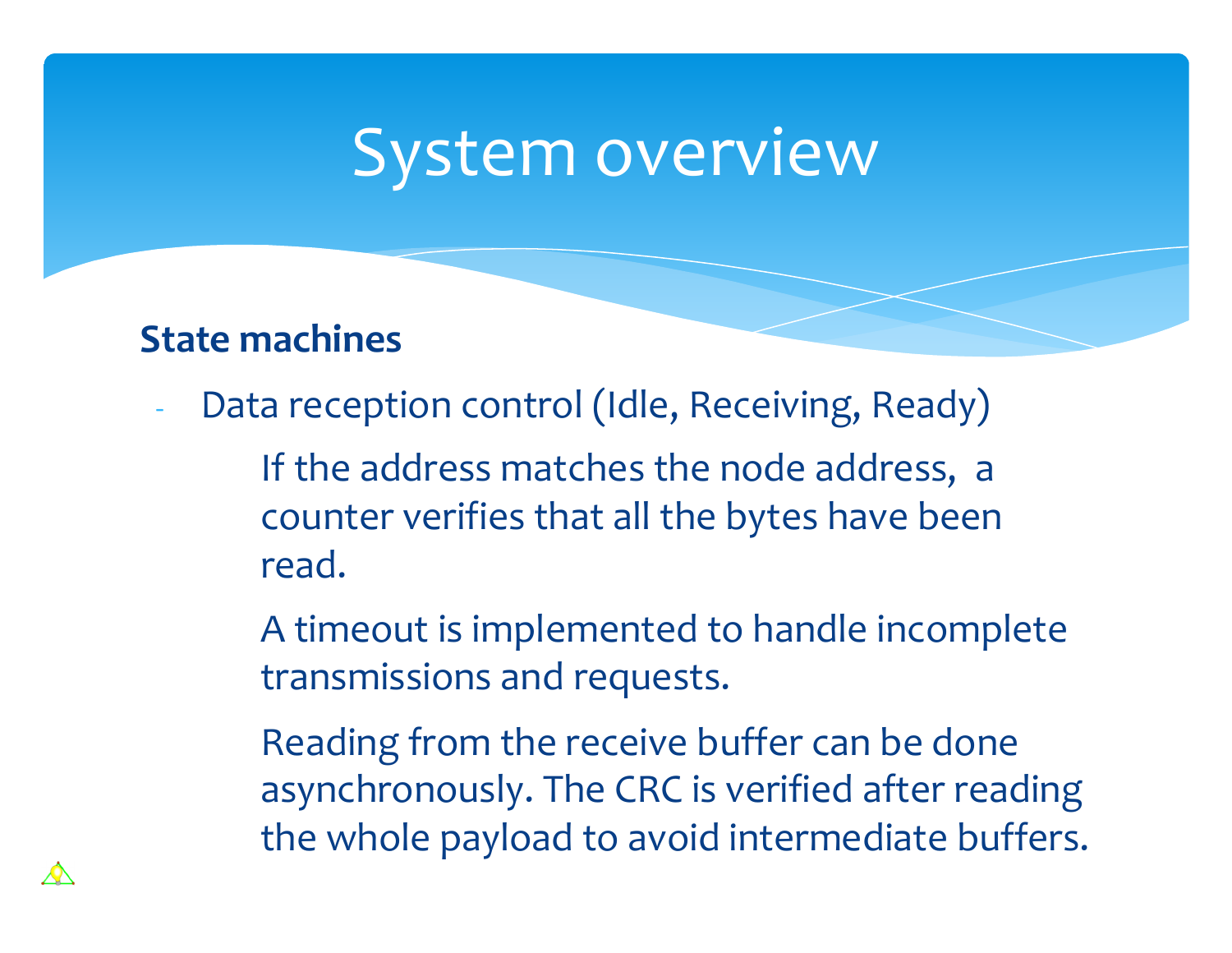#### **State machines**

Data reception control (Idle, Receiving, Ready)

If the address matches the node address, a counter verifies that all the bytes have been read.

A timeout is implemented to handle incomplete transmissions and requests.

Reading from the receive buffer can be done asynchronously. The CRC is verified after reading the whole payload to avoid intermediate buffers.

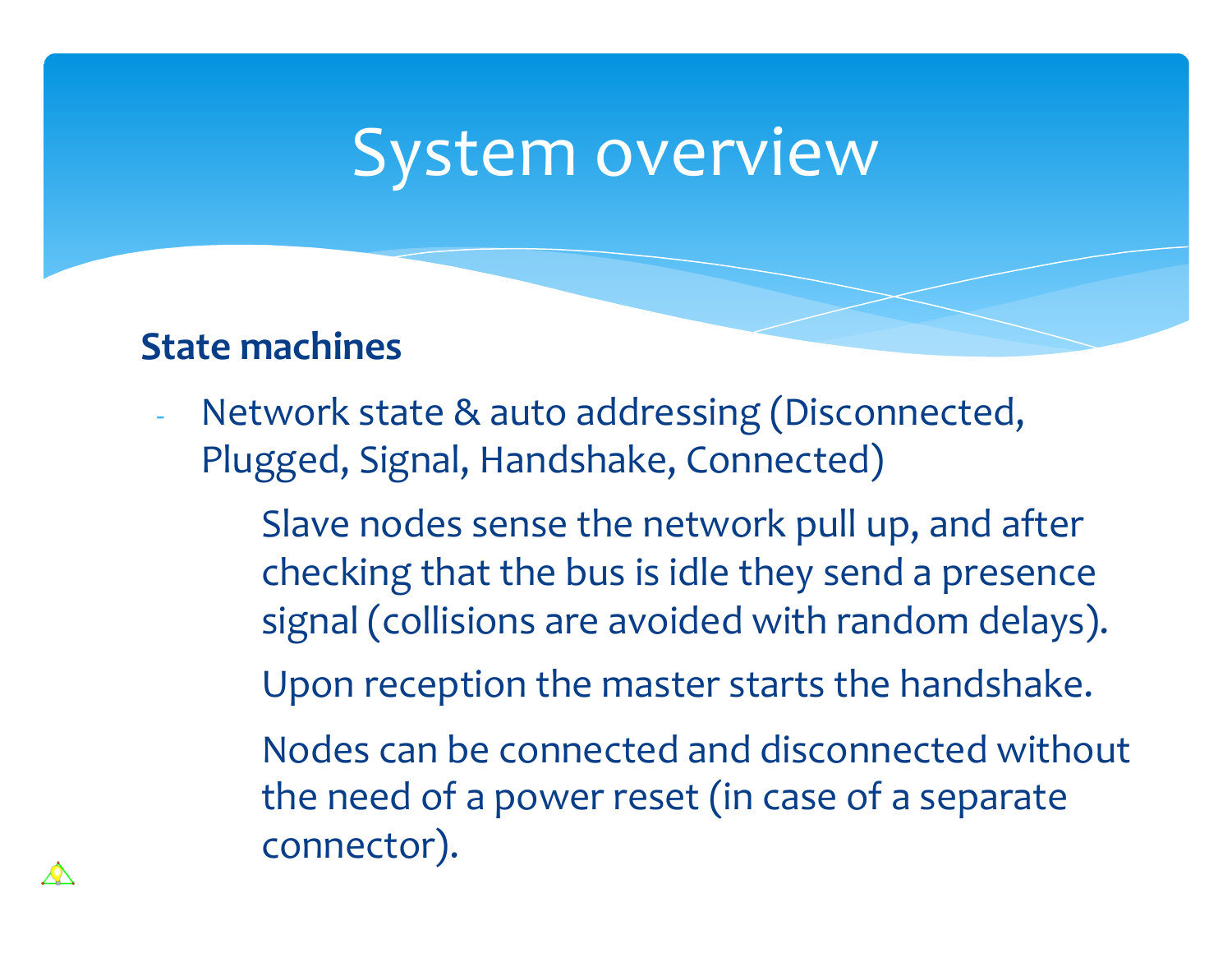#### **State machines**

- Network state & auto addressing (Disconnected, Plugged, Signal, Handshake, Connected)
	- Slave nodes sense the network pull up, and after checking that the bus is idle they send a presence signal (collisions are avoided with random delays).
	- Upon reception the master starts the handshake.
	- Nodes can be connected and disconnected without the need of a power reset (in case of a separate connector).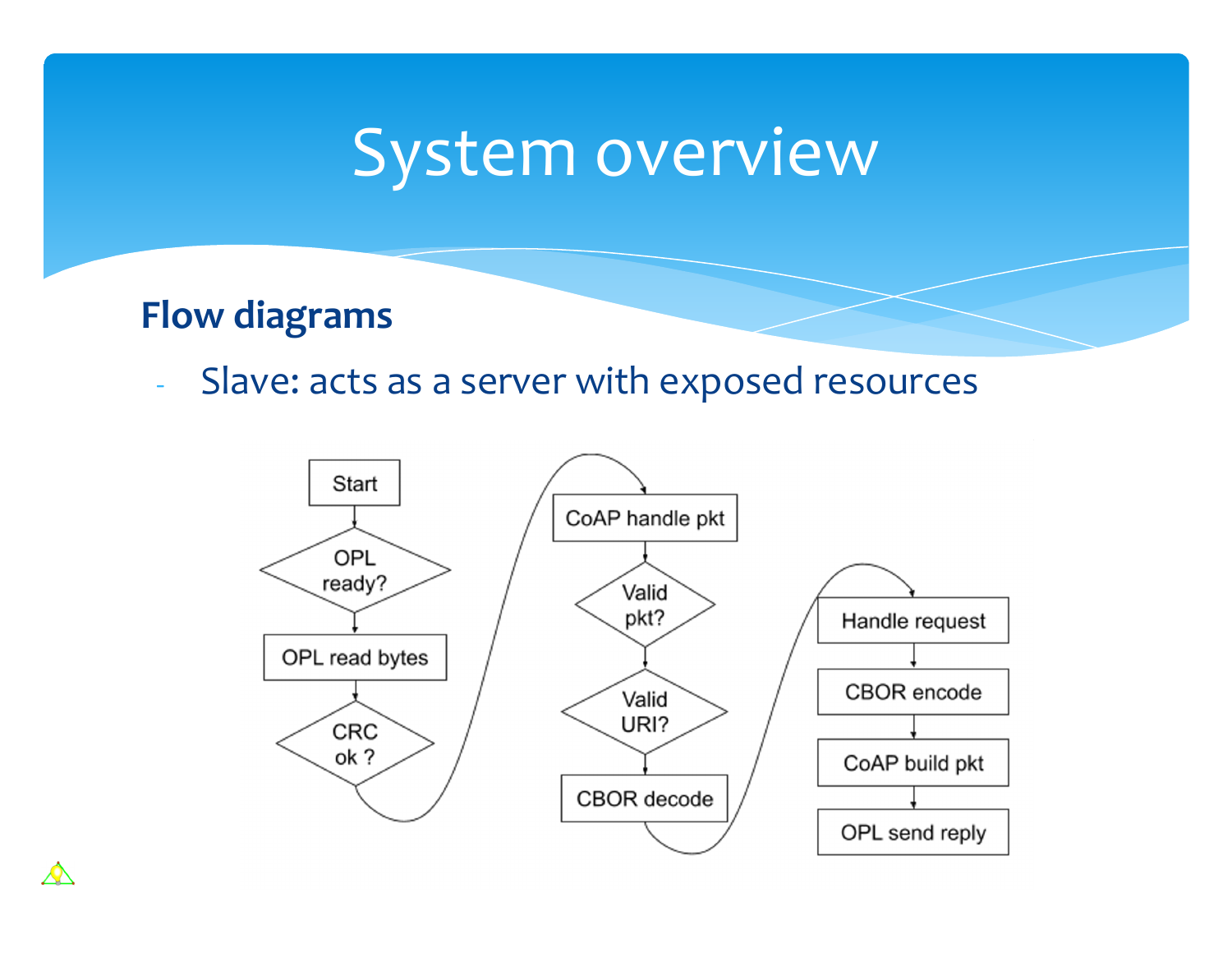### **Flow diagrams**

 $\boldsymbol{\mathcal{A}}$ 

Slave: acts as a server with exposed resources